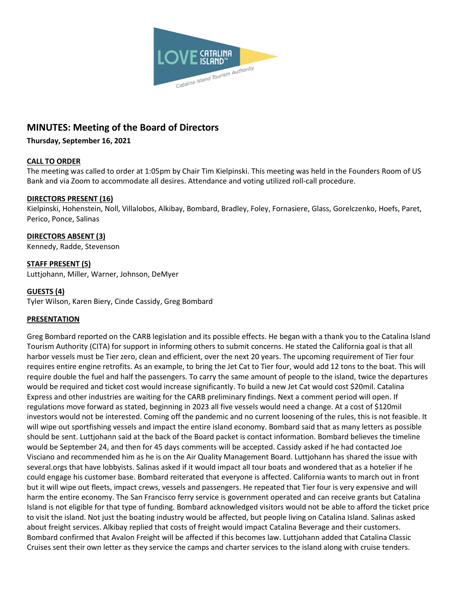

# **MINUTES: Meeting of the Board of Directors**

### **Thursday, September 16, 2021**

### **CALL TO ORDER**

The meeting was called to order at 1:05pm by Chair Tim Kielpinski. This meeting was held in the Founders Room of US Bank and via Zoom to accommodate all desires. Attendance and voting utilized roll-call procedure.

### **DIRECTORS PRESENT (16)**

Kielpinski, Hohenstein, Noll, Villalobos, Alkibay, Bombard, Bradley, Foley, Fornasiere, Glass, Gorelczenko, Hoefs, Paret, Perico, Ponce, Salinas

### **DIRECTORS ABSENT (3)**

Kennedy, Radde, Stevenson

### **STAFF PRESENT (5)**

Luttjohann, Miller, Warner, Johnson, DeMyer

### **GUESTS (4)**

Tyler Wilson, Karen Biery, Cinde Cassidy, Greg Bombard

### **PRESENTATION**

Greg Bombard reported on the CARB legislation and its possible effects. He began with a thank you to the Catalina Island Tourism Authority (CITA) for support in informing others to submit concerns. He stated the California goal is that all harbor vessels must be Tier zero, clean and efficient, over the next 20 years. The upcoming requirement of Tier four requires entire engine retrofits. As an example, to bring the Jet Cat to Tier four, would add 12 tons to the boat. This will require double the fuel and half the passengers. To carry the same amount of people to the island, twice the departures would be required and ticket cost would increase significantly. To build a new Jet Cat would cost \$20mil. Catalina Express and other industries are waiting for the CARB preliminary findings. Next a comment period will open. If regulations move forward as stated, beginning in 2023 all five vessels would need a change. At a cost of \$120mil investors would not be interested. Coming off the pandemic and no current loosening of the rules, this is not feasible. It will wipe out sportfishing vessels and impact the entire island economy. Bombard said that as many letters as possible should be sent. Luttjohann said at the back of the Board packet is contact information. Bombard believes the timeline would be September 24, and then for 45 days comments will be accepted. Cassidy asked if he had contacted Joe Visciano and recommended him as he is on the Air Quality Management Board. Luttjohann has shared the issue with several.orgs that have lobbyists. Salinas asked if it would impact all tour boats and wondered that as a hotelier if he could engage his customer base. Bombard reiterated that everyone is affected. California wants to march out in front but it will wipe out fleets, impact crews, vessels and passengers. He repeated that Tier four is very expensive and will harm the entire economy. The San Francisco ferry service is government operated and can receive grants but Catalina Island is not eligible for that type of funding. Bombard acknowledged visitors would not be able to afford the ticket price to visit the island. Not just the boating industry would be affected, but people living on Catalina Island. Salinas asked about freight services. Alkibay replied that costs of freight would impact Catalina Beverage and their customers. Bombard confirmed that Avalon Freight will be affected if this becomes law. Luttjohann added that Catalina Classic Cruises sent their own letter as they service the camps and charter services to the island along with cruise tenders.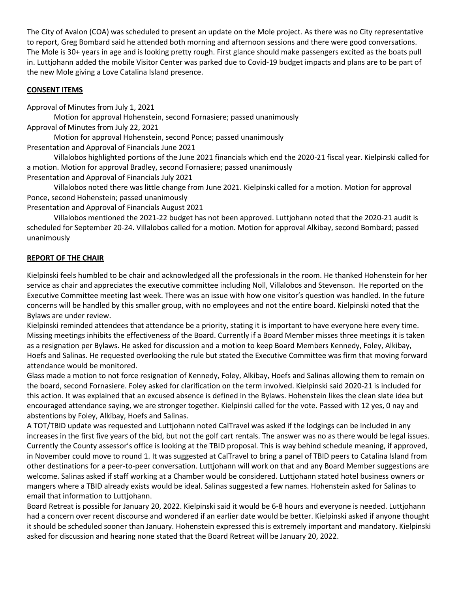The City of Avalon (COA) was scheduled to present an update on the Mole project. As there was no City representative to report, Greg Bombard said he attended both morning and afternoon sessions and there were good conversations. The Mole is 30+ years in age and is looking pretty rough. First glance should make passengers excited as the boats pull in. Luttjohann added the mobile Visitor Center was parked due to Covid-19 budget impacts and plans are to be part of the new Mole giving a Love Catalina Island presence.

## **CONSENT ITEMS**

Approval of Minutes from July 1, 2021

Motion for approval Hohenstein, second Fornasiere; passed unanimously Approval of Minutes from July 22, 2021

Motion for approval Hohenstein, second Ponce; passed unanimously Presentation and Approval of Financials June 2021

Villalobos highlighted portions of the June 2021 financials which end the 2020-21 fiscal year. Kielpinski called for a motion. Motion for approval Bradley, second Fornasiere; passed unanimously

Presentation and Approval of Financials July 2021

Villalobos noted there was little change from June 2021. Kielpinski called for a motion. Motion for approval Ponce, second Hohenstein; passed unanimously

Presentation and Approval of Financials August 2021

Villalobos mentioned the 2021-22 budget has not been approved. Luttjohann noted that the 2020-21 audit is scheduled for September 20-24. Villalobos called for a motion. Motion for approval Alkibay, second Bombard; passed unanimously

### **REPORT OF THE CHAIR**

Kielpinski feels humbled to be chair and acknowledged all the professionals in the room. He thanked Hohenstein for her service as chair and appreciates the executive committee including Noll, Villalobos and Stevenson. He reported on the Executive Committee meeting last week. There was an issue with how one visitor's question was handled. In the future concerns will be handled by this smaller group, with no employees and not the entire board. Kielpinski noted that the Bylaws are under review.

Kielpinski reminded attendees that attendance be a priority, stating it is important to have everyone here every time. Missing meetings inhibits the effectiveness of the Board. Currently if a Board Member misses three meetings it is taken as a resignation per Bylaws. He asked for discussion and a motion to keep Board Members Kennedy, Foley, Alkibay, Hoefs and Salinas. He requested overlooking the rule but stated the Executive Committee was firm that moving forward attendance would be monitored.

Glass made a motion to not force resignation of Kennedy, Foley, Alkibay, Hoefs and Salinas allowing them to remain on the board, second Fornasiere. Foley asked for clarification on the term involved. Kielpinski said 2020-21 is included for this action. It was explained that an excused absence is defined in the Bylaws. Hohenstein likes the clean slate idea but encouraged attendance saying, we are stronger together. Kielpinski called for the vote. Passed with 12 yes, 0 nay and abstentions by Foley, Alkibay, Hoefs and Salinas.

A TOT/TBID update was requested and Luttjohann noted CalTravel was asked if the lodgings can be included in any increases in the first five years of the bid, but not the golf cart rentals. The answer was no as there would be legal issues. Currently the County assessor's office is looking at the TBID proposal. This is way behind schedule meaning, if approved, in November could move to round 1. It was suggested at CalTravel to bring a panel of TBID peers to Catalina Island from other destinations for a peer-to-peer conversation. Luttjohann will work on that and any Board Member suggestions are welcome. Salinas asked if staff working at a Chamber would be considered. Luttjohann stated hotel business owners or mangers where a TBID already exists would be ideal. Salinas suggested a few names. Hohenstein asked for Salinas to email that information to Luttjohann.

Board Retreat is possible for January 20, 2022. Kielpinski said it would be 6-8 hours and everyone is needed. Luttjohann had a concern over recent discourse and wondered if an earlier date would be better. Kielpinski asked if anyone thought it should be scheduled sooner than January. Hohenstein expressed this is extremely important and mandatory. Kielpinski asked for discussion and hearing none stated that the Board Retreat will be January 20, 2022.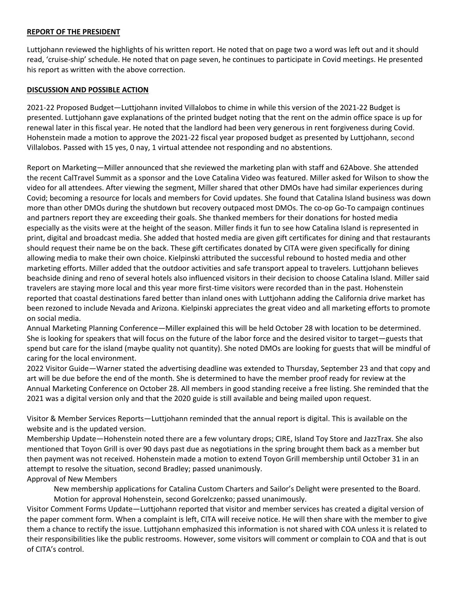#### **REPORT OF THE PRESIDENT**

Luttjohann reviewed the highlights of his written report. He noted that on page two a word was left out and it should read, 'cruise-ship' schedule. He noted that on page seven, he continues to participate in Covid meetings. He presented his report as written with the above correction.

#### **DISCUSSION AND POSSIBLE ACTION**

2021-22 Proposed Budget—Luttjohann invited Villalobos to chime in while this version of the 2021-22 Budget is presented. Luttjohann gave explanations of the printed budget noting that the rent on the admin office space is up for renewal later in this fiscal year. He noted that the landlord had been very generous in rent forgiveness during Covid. Hohenstein made a motion to approve the 2021-22 fiscal year proposed budget as presented by Luttjohann, second Villalobos. Passed with 15 yes, 0 nay, 1 virtual attendee not responding and no abstentions.

Report on Marketing—Miller announced that she reviewed the marketing plan with staff and 62Above. She attended the recent CalTravel Summit as a sponsor and the Love Catalina Video was featured. Miller asked for Wilson to show the video for all attendees. After viewing the segment, Miller shared that other DMOs have had similar experiences during Covid; becoming a resource for locals and members for Covid updates. She found that Catalina Island business was down more than other DMOs during the shutdown but recovery outpaced most DMOs. The co-op Go-To campaign continues and partners report they are exceeding their goals. She thanked members for their donations for hosted media especially as the visits were at the height of the season. Miller finds it fun to see how Catalina Island is represented in print, digital and broadcast media. She added that hosted media are given gift certificates for dining and that restaurants should request their name be on the back. These gift certificates donated by CITA were given specifically for dining allowing media to make their own choice. Kielpinski attributed the successful rebound to hosted media and other marketing efforts. Miller added that the outdoor activities and safe transport appeal to travelers. Luttjohann believes beachside dining and reno of several hotels also influenced visitors in their decision to choose Catalina Island. Miller said travelers are staying more local and this year more first-time visitors were recorded than in the past. Hohenstein reported that coastal destinations fared better than inland ones with Luttjohann adding the California drive market has been rezoned to include Nevada and Arizona. Kielpinski appreciates the great video and all marketing efforts to promote on social media.

Annual Marketing Planning Conference—Miller explained this will be held October 28 with location to be determined. She is looking for speakers that will focus on the future of the labor force and the desired visitor to target—guests that spend but care for the island (maybe quality not quantity). She noted DMOs are looking for guests that will be mindful of caring for the local environment.

2022 Visitor Guide—Warner stated the advertising deadline was extended to Thursday, September 23 and that copy and art will be due before the end of the month. She is determined to have the member proof ready for review at the Annual Marketing Conference on October 28. All members in good standing receive a free listing. She reminded that the 2021 was a digital version only and that the 2020 guide is still available and being mailed upon request.

Visitor & Member Services Reports—Luttjohann reminded that the annual report is digital. This is available on the website and is the updated version.

Membership Update—Hohenstein noted there are a few voluntary drops; CIRE, Island Toy Store and JazzTrax. She also mentioned that Toyon Grill is over 90 days past due as negotiations in the spring brought them back as a member but then payment was not received. Hohenstein made a motion to extend Toyon Grill membership until October 31 in an attempt to resolve the situation, second Bradley; passed unanimously.

### Approval of New Members

New membership applications for Catalina Custom Charters and Sailor's Delight were presented to the Board. Motion for approval Hohenstein, second Gorelczenko; passed unanimously.

Visitor Comment Forms Update—Luttjohann reported that visitor and member services has created a digital version of the paper comment form. When a complaint is left, CITA will receive notice. He will then share with the member to give them a chance to rectify the issue. Luttjohann emphasized this information is not shared with COA unless it is related to their responsibilities like the public restrooms. However, some visitors will comment or complain to COA and that is out of CITA's control.